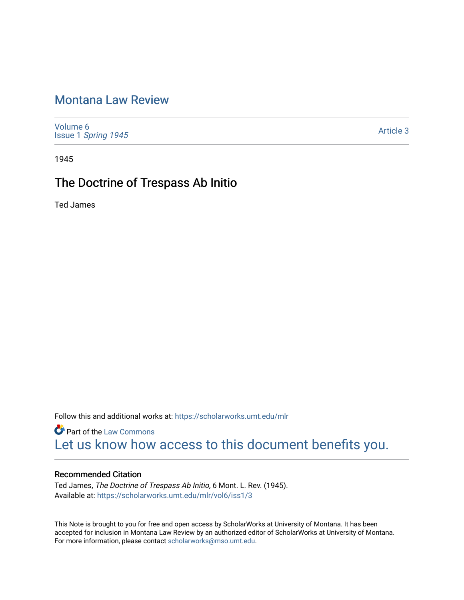## [Montana Law Review](https://scholarworks.umt.edu/mlr)

[Volume 6](https://scholarworks.umt.edu/mlr/vol6) Issue 1 [Spring 1945](https://scholarworks.umt.edu/mlr/vol6/iss1) 

[Article 3](https://scholarworks.umt.edu/mlr/vol6/iss1/3) 

1945

# The Doctrine of Trespass Ab Initio

Ted James

Follow this and additional works at: [https://scholarworks.umt.edu/mlr](https://scholarworks.umt.edu/mlr?utm_source=scholarworks.umt.edu%2Fmlr%2Fvol6%2Fiss1%2F3&utm_medium=PDF&utm_campaign=PDFCoverPages) 

**Part of the [Law Commons](http://network.bepress.com/hgg/discipline/578?utm_source=scholarworks.umt.edu%2Fmlr%2Fvol6%2Fiss1%2F3&utm_medium=PDF&utm_campaign=PDFCoverPages)** [Let us know how access to this document benefits you.](https://goo.gl/forms/s2rGfXOLzz71qgsB2) 

## Recommended Citation

Ted James, The Doctrine of Trespass Ab Initio, 6 Mont. L. Rev. (1945). Available at: [https://scholarworks.umt.edu/mlr/vol6/iss1/3](https://scholarworks.umt.edu/mlr/vol6/iss1/3?utm_source=scholarworks.umt.edu%2Fmlr%2Fvol6%2Fiss1%2F3&utm_medium=PDF&utm_campaign=PDFCoverPages)

This Note is brought to you for free and open access by ScholarWorks at University of Montana. It has been accepted for inclusion in Montana Law Review by an authorized editor of ScholarWorks at University of Montana. For more information, please contact [scholarworks@mso.umt.edu.](mailto:scholarworks@mso.umt.edu)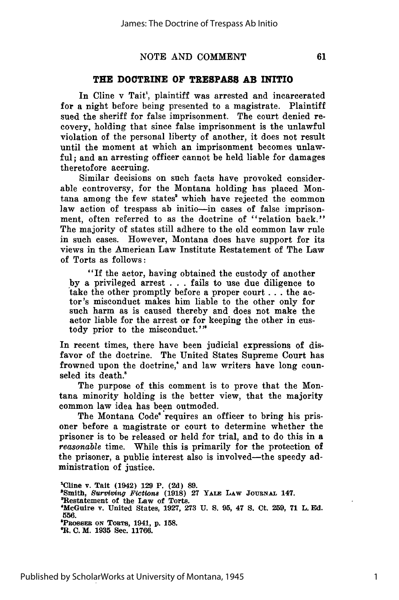#### NOTE AND COMMENT

#### **THE DOCTRINE OF TRESPASS AB INITIO**

In Cline v Tait', plaintiff was arrested and incarcerated for a night before being presented to a magistrate. Plaintiff sued the sheriff for false imprisonment. The court denied recovery, holding that since false imprisonment is the unlawful violation of the personal liberty of another, it does not result until the moment at which an imprisonment becomes unlawful; and an arresting officer cannot be held liable for damages theretofore accruing.

Similar decisions on such facts have provoked considerable controversy, for the Montana holding has placed Montana among the few states' which have rejected the common law action of trespass ab initio--in cases of false imprisonment, often referred to as the doctrine of "relation back." The majority of states still adhere to the old common law rule in such cases. However, Montana does have support for its views in the American Law Institute Restatement of The Law of Torts as follows:

"If the actor, having obtained the custody of another by a privileged arrest . . . fails to use due diligence to take the other promptly before a proper court **...** the actor's misconduct makes him liable to the other only for such harm as is caused thereby and does not make the actor liable for the arrest or for keeping the other in custody prior to the misconduct.'"

In recent times, there have been judicial expressions of disfavor of the doctrine. The United States Supreme Court has frowned upon the doctrine,' and law writers have long counseled its death.

The purpose of this comment is to prove that the Montana minority holding is the better view, that the majority common law idea has been outmoded.

The Montana Code' requires an officer to bring his prisoner before a magistrate or court to determine whether the prisoner is to be released or held for trial, and to do this in a *reasonable* time. While this is primarily for the protection of the prisoner, a public interest also is involved-the speedy administration of justice.

**'Cline** v. Tait (1942) **129** P. **(2d) 89.** 'Smith, Surviving *Fictions* **(1918) 27 YALE** LAW **JourNAL** 147. 'Restatement of the Law of Torts. 'MeGuire v. United States, 1927, **273 U. S. 95,** 47 **S.** Ct. 259, 71 L. **Ed. 556. RossmF-, ON ToRTS,** 1941, **p. 158. OR. C.** M. **1935** See. **11766.**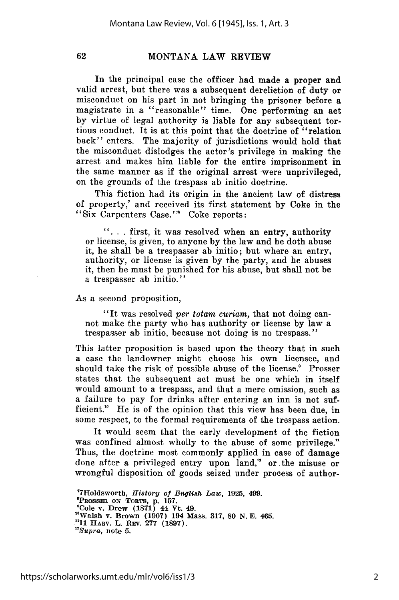62

### MONTANA LAW REVIEW

In the principal case the officer had made a proper and valid arrest, but there was a subsequent dereliction of duty or misconduct on his part in not bringing the prisoner before a magistrate in a "reasonable" time. One performing an act by virtue of legal authority is liable for any subsequent tortious conduct. It is at this point that the doctrine of "relation back" enters. The majority of jurisdictions would hold that the misconduct dislodges the actor's privilege in making the arrest and makes him liable for the entire imprisonment in the same manner as if the original arrest were unprivileged, on the grounds of the trespass ab initio doctrine.

This fiction had its origin in the ancient law of distress of property," and received its first statement by Coke in the "Six Carpenters Case."' Coke reports:

**". ..** first, it was resolved when an entry, authority or license, is given, to anyone by the law and he doth abuse it, he shall be a trespasser ab initio; but where an entry, authority, or license is given by the party, and he abuses it, then he must be punished for his abuse, but shall not be a trespasser ab initio."

#### As a second proposition,

"It was resolved *per totam curiam,* that not doing cannot make the party who has authority or license by law a trespasser ab initio, because not doing is no trespass."

This latter proposition is based upon the theory that in such a case the landowner might choose his own licensee, and should take the risk of possible abuse of the license.' Prosser states that the subsequent act must be one which in itself would amount to a trespass, and that a mere omission, such as a failure to pay for drinks after entering an inn is not sufficient." He is of the opinion that this view has been due, in some respect, to the formal requirements of the trespass action.

It would seem that the early development of the fiction was confined almost wholly to the abuse of some privilege." Thus, the doctrine most commonly applied in case of damage done after a privileged entry upon land," or the misuse or wrongful disposition of goods seized under process of author-

77Holdsworth, *History of* English *Law,* **1925,** 499. **'PROsSER** ON **TORTS, p. 157. 'Cole v. Drew (1871) 44 Vt. 49. "Walsh v. Brown (1907) 194 Mass. 317, 80 N. E. 465. "11 HARV. L. REv. 277 (1897).** *12Supra,* note **5.**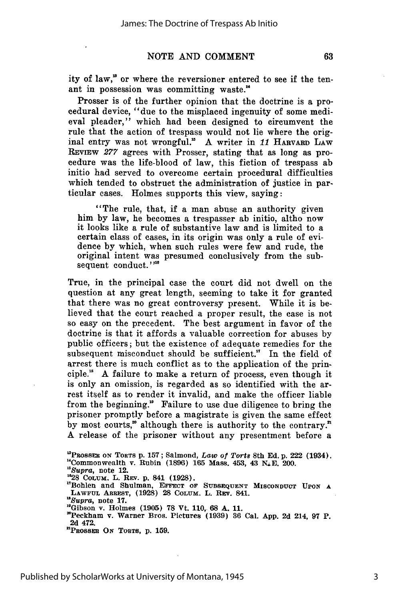#### **NOTE AND COMMENT**

ity of law," or where the reversioner entered to see if the tenant in possession was committing waste."

Prosser is of the further opinion that the doctrine is a procedural device, "due to the misplaced ingenuity of some medieval pleader," which had been designed to circumvent the rule that the action of trespass would not lie where the original entry was not wrongful.' A writer in 11 HARvARD LAW REVIEW 277 agrees with Prosser, stating that as long as procedure was the life-blood of law, this fiction of trespass ab initio had served to overcome certain procedural difficulties which tended to obstruct the administration of justice in particular cases. Holmes supports this view, saying:

"The rule, that, if a man abuse an authority given him by law, he becomes a trespasser ab initio, altho now it looks like a rule of substantive law and is limited to a certain class of cases, in its origin was only a rule of evidence by which, when such rules were few and rude, the original intent was presumed conclusively from the subsequent conduct."<sup>16</sup>

True, in the principal case the court did not dwell on the question at any great length, seeming to take it for granted that there was no great controversy present. While it is believed that the court reached a proper result, the case is not so easy on the precedent. The best argument in favor of the doctrine is that it affords a valuable correction for abuses by public officers; but the existence of adequate remedies for the subsequent misconduct should be sufficient." In the field of arrest there is much conflict as to the application of the principle." A failure to make a return of process, even though it is only an omission, is regarded as so identified with the arrest itself as to render it invalid, and make the officer liable from the beginning." Failure to use due diligence to bring the prisoner promptly before a magistrate is given the same effect by most courts," although there is authority to the contrary." A release of the prisoner without any presentment before a

<sup>&#</sup>x27;PROsSER **ON** TORTS **p. 157;** Salmond, *Law of Torts* 8th **Ed. p. 222** (1934). **"Commonwealth v.** Rubin **(1896) 165 Mass. 453, 43 NXE. 200.**

*<sup>&</sup>quot;Supra,* **note 12.**

<sup>&</sup>lt;sup>1</sup>Bohlen and Shulman, EFFECT OF SUBSEQUENT MISCONDUCT UPON A **LAWFUL** ARREST, **(1928) 28 COLUM. L. REv. 841.**

*nSupra,* **note 17.**

**<sup>&</sup>quot;Gibson v. Holmes (1905) 78 Vt. 110, 68 A. 11.**

**<sup>&</sup>quot;Peckham v. Warner Bros. Pictures (1939) 36 Cal. App. 2d 214, 97 P. 2d 472.**

**<sup>&</sup>quot;PRossEn ON TORTS, p. 159.**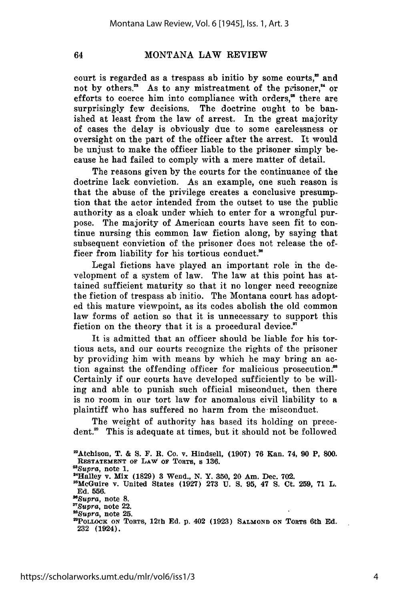64

### MONTANA LAW REVIEW

court is regarded as a trespass ab initio by some courts," and not by others.<sup>23</sup> As to any mistreatment of the prisoner,<sup>24</sup> or efforts to coerce him into compliance with orders, $a$  there are surprisingly few decisions. The doctrine ought to be banished at least from the law of arrest. In the great majority of cases the delay is obviously due to some carelessness or oversight on the part of the officer after the arrest. It would be unjust to make the officer liable to the prisoner simply because he had failed to comply with a mere matter of detail.

The reasons given by the courts for the continuance of the doctrine lack conviction. As an example, one such reason is that the abuse of the privilege creates a conclusive presumption that the actor intended from the outset to use the public authority as a cloak under which to enter for a wrongful purpose. The majority of American courts have seen fit to continue nursing this common law fiction along, by saying that subsequent conviction of the prisoner does not release the officer from liability for his tortious conduct."

Legal fictions have played an important role in the development of a system of law. The law at this point has attained sufficient maturity so that it no longer need recognize the fiction of trespass ab initio. The Montana court has adopted this mature viewpoint, as its codes abolish the old common law forms of action so that it is unnecessary to support this fiction on the theory that it is a procedural device."

It is admitted that an officer should be liable for his tortious acts, and our courts recognize the rights of the prisoner by providing him with means by which he may bring an action against the offending officer for malicious prosecution.<sup>38</sup> Certainly if our courts have developed sufficiently to be willing and able to punish such official misconduct, then there is no room in our tort law for anomalous civil liability to a plaintiff who has suffered no harm from the misconduct.

The weight of authority has based its holding on precedent.<sup>20</sup> This is adequate at times, but it should not be followed

<sup>2</sup>Atchison, **T. & S. F. R. Co. v. Hindsell, (1907) 76 Kan. 74, 90 P, 800. RESTATEMENT OF LAW OF TORTS, s 136.** *'Supra,* note **1. " 4 Halley v. Mix (1829) 3 Wend., N. Y. 350, 20 Am. Dec. 702. <sup>2</sup> 'McGuire v. United States (1927) 273 U. S. 95, 47 S. Ct. 259, 71 L. Ed. 556.** *-"Supra,* note **8.** *"Supra,* note **22.** *2Supra,* note **25. "PoLLOCK ON** TORTS, 12th **Ed. p.** 402 **(1923) SALMOND ON** TORTS 6th **Ed. 232 (1924).**